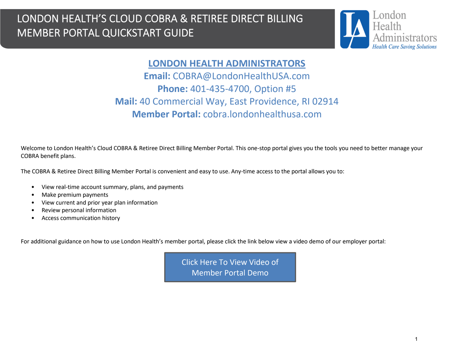

### **LONDON HEALTH ADMINISTRATORS**

**Email:** COBRA@LondonHealthUSA.com **Phone:** 401-435-4700, Option #5 **Mail:** 40 Commercial Way, East Providence, RI 02914 **Member Portal:** cobra.londonhealthusa.com

Welcome to London Health's Cloud COBRA & Retiree Direct Billing Member Portal. This one-stop portal gives you the tools you need to better manage your COBRA benefit plans.

The COBRA & Retiree Direct Billing Member Portal is convenient and easy to use. Any-time access to the portal allows you to:

- View real-time account summary, plans, and payments
- Make premium payments
- View current and prior year plan information
- Review personal information
- Access communication history

For additional guidance on how to use London Health's member portal, please click the link below view a video demo of our employer portal:

[Click Here To View Video of](https://cobra.learnyourbenefits.com/?Download%20Video%20Links) Member Portal Demo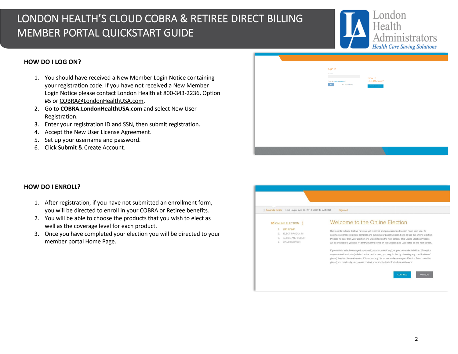

### **HOW DO I LOG ON?**

- 1. You should have received a New Member Login Notice containing your registration code. If you have not received a New Member Login Notice please contact London Health at 800-343-2236, Option #5 or COBRA@LondonHealthUSA.com.
- 2. Go to **COBRA.LondonHealthUSA.com** and select New User Registration.
- 3. Enter your registration ID and SSN, then submit registration.
- 4. Accept the New User License Agreement.
- 5. Set up your username and password.
- 6. Click **Submit** & Create Account.



### **HOW DO I ENROLL?**

- 1. After registration, if you have not submitted an enrollment form, you will be directed to enroll in your COBRA or Retiree benefits.
- 2. You will be able to choose the products that you wish to elect as well as the coverage level for each product.
- 3. Once you have completed your election you will be directed to your member portal Home Page.

| Amanda Smith<br>Last Login: Apr 17, 2018 at 08:14 AM CST<br>Sign out                   |                                                                                                                                                                                                                                                                                                                                                                                                                                                                                                                                         |  |
|----------------------------------------------------------------------------------------|-----------------------------------------------------------------------------------------------------------------------------------------------------------------------------------------------------------------------------------------------------------------------------------------------------------------------------------------------------------------------------------------------------------------------------------------------------------------------------------------------------------------------------------------|--|
| $\leq$ ONLINE ELECTION                                                                 | Welcome to the Online Election                                                                                                                                                                                                                                                                                                                                                                                                                                                                                                          |  |
| <b>WELCOME</b><br>ELECT PRODUCTS<br>2.<br>AGREE AND SUBMIT<br>35<br>CONFIRMATION<br>45 | Our records indicate that we have not yet received and processed an Election Form from you. To<br>continue coverage you must complete and submit your paper Election Form or use this Online Election<br>Process no later than your Election end Date listed on the next screen. This Online Election Process<br>will be available to you until 11:59 PM Central Time on the Election End Date listed on the next screen.<br>If you wish to select coverage for yourself, your spouse (if any), or your dependent children (if any) for |  |
|                                                                                        | any combination of plan(s) listed on the next screen, you may do this by choosing any combination of<br>plan(s) listed on the next screen. If there are any discrepancies between your Election Form or on the<br>plan(s) you previously had, please contact your administrator for further assistance.                                                                                                                                                                                                                                 |  |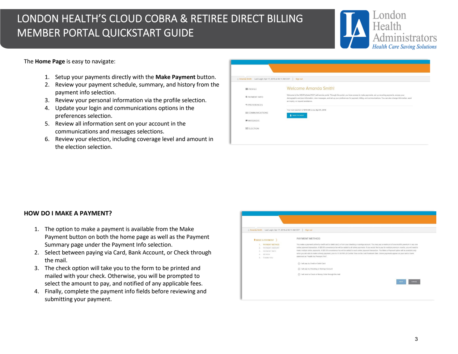

#### The **Home Page** is easy to navigate:

- 1. Setup your payments directly with the **Make Payment** button.
- 2. Review your payment schedule, summary, and history from the payment info selection.
- 3. Review your personal information via the profile selection.
- 4. Update your login and communications options in the preferences selection.
- 5. Review all information sent on your account in the communications and messages selections.
- 6. Review your election, including coverage level and amount in the election selection.

| Amanda Smith Last Login: Apr 17, 2018 at 08:14 AM CST<br>Sign out |                                                                                                                                                                                                                                                                                                                                                         |  |
|-------------------------------------------------------------------|---------------------------------------------------------------------------------------------------------------------------------------------------------------------------------------------------------------------------------------------------------------------------------------------------------------------------------------------------------|--|
| 圖 PROFILE                                                         | <b>Welcome Amanda Smith!</b>                                                                                                                                                                                                                                                                                                                            |  |
| <b>\$ PAYMENT INFO</b>                                            | Welcome to the WEXPreSalesTEST self-service portal. Through this portal, you have access to make payments, set up recurring payments, access your<br>demographic and plan information, view messages, and set up your preferences for payment, billing, and communications. You can also change information, send<br>an inquiry, or request assistance. |  |
| <b>95 PREFERENCES</b>                                             |                                                                                                                                                                                                                                                                                                                                                         |  |
| E COMMUNICATIONS                                                  | Your next payment of \$101.00 is due Apr 01, 2018<br>S MAKE PAYMENT                                                                                                                                                                                                                                                                                     |  |
| <b>MESSAGES</b>                                                   |                                                                                                                                                                                                                                                                                                                                                         |  |

### **HOW DO I MAKE A PAYMENT?**

- 1. The option to make a payment is available from the Make Payment button on both the home page as well as the Payment Summary page under the Payment Info selection.
- 2. Select between paying via Card, Bank Account, or Check through the mail.
- 3. The check option will take you to the form to be printed and mailed with your check. Otherwise, you will be prompted to select the amount to pay, and notified of any applicable fees.
- 4. Finally, complete the payment info fields before reviewing and submitting your payment.